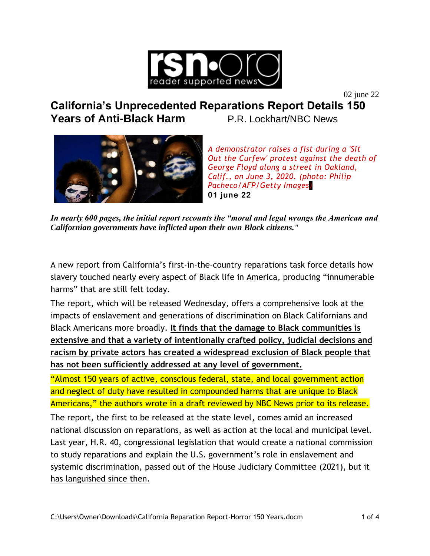

02 june 22

**California's Unprecedented Reparations Report Details 150 Years of Anti-Black Harm** P.R. Lockhart/NBC News



*A demonstrator raises a fist during a 'Sit Out the Curfew' protest against the death of George Floyd along a street in Oakland, Calif., on June 3, 2020. (photo: Philip Pacheco/AFP/Getty Images)* **01 june 22**

*In nearly 600 pages, the initial report recounts the "moral and legal wrongs the American and Californian governments have inflicted upon their own Black citizens."*

A new report from California's first-in-the-country reparations task force details how slavery touched nearly every aspect of Black life in America, producing "innumerable harms" that are still felt today.

The report, which will be released Wednesday, offers a comprehensive look at the impacts of enslavement and generations of discrimination on Black Californians and Black Americans more broadly. **It finds that the damage to Black communities is extensive and that a variety of intentionally crafted policy, judicial decisions and racism by private actors has created a widespread exclusion of Black people that has not been sufficiently addressed at any level of government.**

"Almost 150 years of active, conscious federal, state, and local government action and neglect of duty have resulted in compounded harms that are unique to Black Americans," the authors wrote in a draft reviewed by NBC News prior to its release.

The report, the first to be released at the state level, comes amid an increased national discussion on reparations, as well as action at the local and municipal level. Last year, H.R. 40, congressional legislation that would create a national commission to study reparations and explain the U.S. government's role in enslavement and systemic discrimination, passed out of the House Judiciary Committee (2021), but it has languished since then.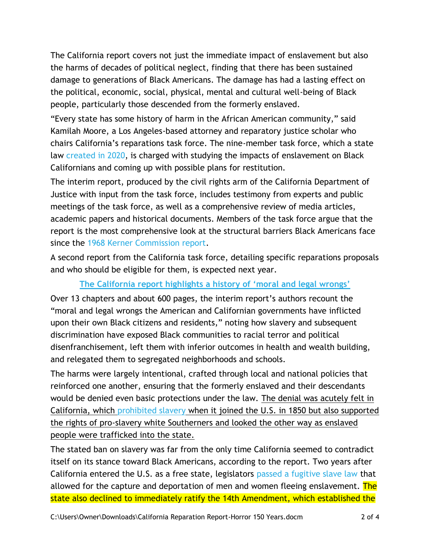The California report covers not just the immediate impact of enslavement but also the harms of decades of political neglect, finding that there has been sustained damage to generations of Black Americans. The damage has had a lasting effect on the political, economic, social, physical, mental and cultural well-being of Black people, particularly those descended from the formerly enslaved.

"Every state has some history of harm in the African American community," said Kamilah Moore, a Los Angeles-based attorney and reparatory justice scholar who chairs California's reparations task force. The nine-member task force, which a state law [created in 2020,](https://www.nbcnews.com/news/us-news/historic-california-law-establishes-path-reparations-black-people-descendants-slaves-n1241627) is charged with studying the impacts of enslavement on Black Californians and coming up with possible plans for restitution.

The interim report, produced by the civil rights arm of the California Department of Justice with input from the task force, includes testimony from experts and public meetings of the task force, as well as a comprehensive review of media articles, academic papers and historical documents. Members of the task force argue that the report is the most comprehensive look at the structural barriers Black Americans face since the [1968 Kerner Commission report.](https://www.smithsonianmag.com/smithsonian-institution/1968-kerner-commission-got-it-right-nobody-listened-180968318/)

A second report from the California task force, detailing specific reparations proposals and who should be eligible for them, is expected next year.

**The California report hi[ghlights a history of 'moral and legal wrongs'](https://www.nbcnews.com/news/nbcblk/california-slavery-reparations-report-task-force-rcna31322#anchor-TheCaliforniareporthighlightsahistoryofmoralandlegalwrongs)**

Over 13 chapters and about 600 pages, the interim report's authors recount the "moral and legal wrongs the American and Californian governments have inflicted upon their own Black citizens and residents," noting how slavery and subsequent discrimination have exposed Black communities to racial terror and political disenfranchisement, left them with inferior outcomes in health and wealth building, and relegated them to segregated neighborhoods and schools.

The harms were largely intentional, crafted through local and national policies that reinforced one another, ensuring that the formerly enslaved and their descendants would be denied even basic protections under the law. The denial was acutely felt in California, which [prohibited slavery](https://californiahistoricalsociety.org/blog/california-a-free-state-sanctioned-slavery/) when it joined the U.S. in 1850 but also supported the rights of pro-slavery white Southerners and looked the other way as enslaved people were trafficked into the state.

The stated ban on slavery was far from the only time California seemed to contradict itself on its stance toward Black Americans, according to the report. Two years after California entered the U.S. as a free state, legislators [passed a fugitive slave law](https://www.kqed.org/news/11905371/california-celebrates-its-history-as-a-free-state-but-there-was-slavery-here) that allowed for the capture and deportation of men and women fleeing enslavement. The state also declined to immediately ratify the 14th Amendment, which established the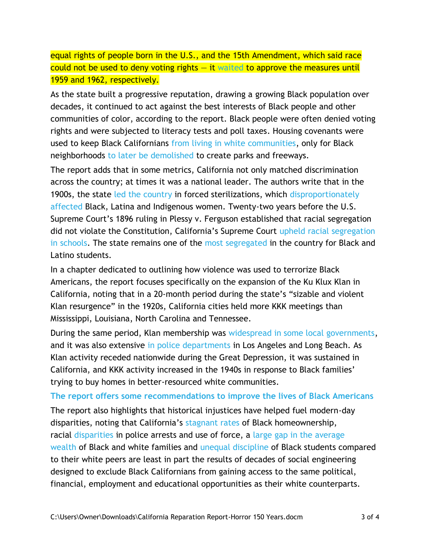equal rights of people born in the U.S., and the 15th Amendment, which said race could not be used to deny voting rights  $-$  it [waited](https://www.theunion.com/news/steve-cottrell-it-took-92-years-for-california-to-ratify-the-15th-amendment/) to approve the measures until 1959 and 1962, respectively.

As the state built a progressive reputation, drawing a growing Black population over decades, it continued to act against the best interests of Black people and other communities of color, according to the report. Black people were often denied voting rights and were subjected to literacy tests and poll taxes. Housing covenants were used to keep Black Californians [from living in white communities,](https://www.latimes.com/california/story/2021-04-27/behind-a-new-tv-show-is-the-ugly-and-true-history-of-l-a-s-racist-housing-covenants) only for Black neighborhoods [to later be demolished](https://www.latimes.com/homeless-housing/story/2021-11-11/the-racist-history-of-americas-interstate-highway-boom) to create parks and freeways.

The report adds that in some metrics, California not only matched discrimination across the country; at times it was a national leader. The authors write that in the 1900s, the state [led the country](https://www.sfgate.com/business/article/State-s-little-known-history-of-shameful-science-2663925.php) in forced sterilizations, which disproportionately [affected](https://www.capradio.org/articles/2021/07/20/for-decades-california-forcibly-sterilized-women-under-eugenics-law-now-the-state-will-pay-survivors/) Black, Latina and Indigenous women. Twenty-two years before the U.S. Supreme Court's 1896 ruling in Plessy v. Ferguson established that racial segregation did not violate the Constitution, California's Supreme Court [upheld racial segregation](https://www.blackpast.org/african-american-history/ward-v-flood-1874/)  [in schools.](https://www.blackpast.org/african-american-history/ward-v-flood-1874/) The state remains one of the [most segregated](https://www.universityofcalifornia.edu/news/confronting-pervasive-segregation) in the country for Black and Latino students.

In a chapter dedicated to outlining how violence was used to terrorize Black Americans, the report focuses specifically on the expansion of the Ku Klux Klan in California, noting that in a 20-month period during the state's "sizable and violent Klan resurgence" in the 1920s, California cities held more KKK meetings than Mississippi, Louisiana, North Carolina and Tennessee.

During the same period, Klan membership was [widespread in some local governments,](https://www.lataco.com/la-mayor-kkk/) and it was also extensive [in police departments](https://forthe.org/journalism/kkk-lbpd-history/) in Los Angeles and Long Beach. As Klan activity receded nationwide during the Great Depression, it was sustained in California, and KKK activity increased in the 1940s in response to Black families' trying to buy homes in better-resourced white communities.

**[The report offers some recommendations to improve the lives of Black Americans](https://www.nbcnews.com/news/nbcblk/california-slavery-reparations-report-task-force-rcna31322#anchor-ThereportofferssomerecommendationstoimprovethelivesofBlackAmericans)**

The report also highlights that historical injustices have helped fuel modern-day disparities, noting that California's [stagnant rates](https://www.calhealthreport.org/2022/05/13/opinion-an-urgent-call-to-address-the-housing-crisis-in-black-communities/) of Black homeownership, racial [disparities](https://www.kpbs.org/news/public-safety/2020/06/10/records-show-racial-disparities-when-san-diego-law) in police arrests and use of force, a [large gap in the average](https://www.aasc.ucla.edu/besol/Color_of_Wealth_Report.pdf)  [wealth](https://www.aasc.ucla.edu/besol/Color_of_Wealth_Report.pdf) of Black and white families and [unequal discipline](https://publications.csba.org/california-school-news/april-2021/californias-black-students-suspended-at-far-higher-rates-than-their-peers/) of Black students compared to their white peers are least in part the results of decades of social engineering designed to exclude Black Californians from gaining access to the same political, financial, employment and educational opportunities as their white counterparts.